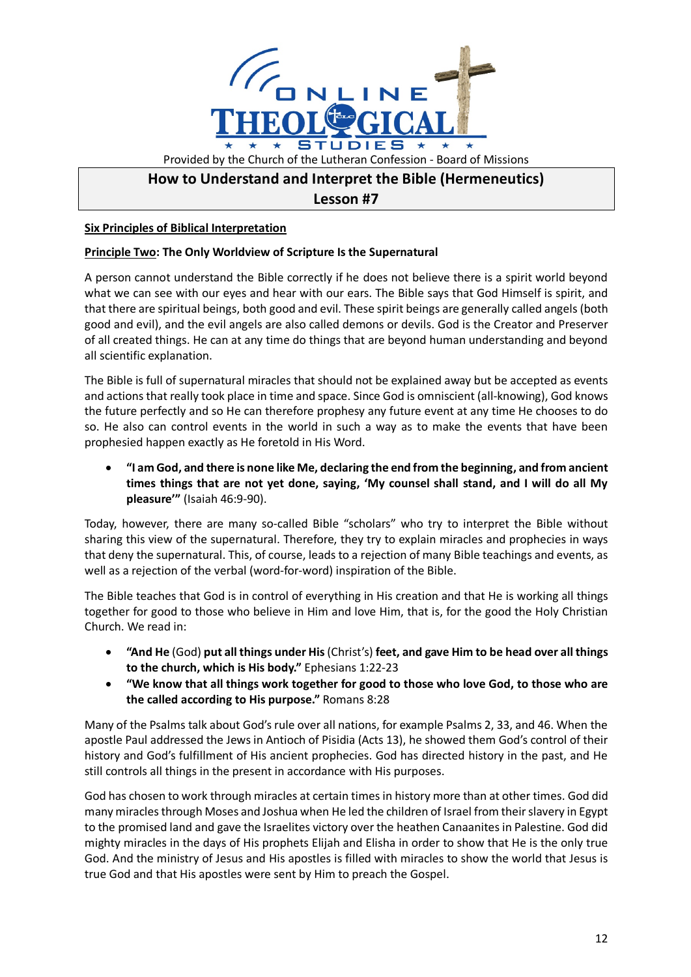

# **How to Understand and Interpret the Bible (Hermeneutics)**

## **Lesson #7**

## **Six Principles of Biblical Interpretation**

### **Principle Two: The Only Worldview of Scripture Is the Supernatural**

A person cannot understand the Bible correctly if he does not believe there is a spirit world beyond what we can see with our eyes and hear with our ears. The Bible says that God Himself is spirit, and that there are spiritual beings, both good and evil. These spirit beings are generally called angels (both good and evil), and the evil angels are also called demons or devils. God is the Creator and Preserver of all created things. He can at any time do things that are beyond human understanding and beyond all scientific explanation.

The Bible is full of supernatural miracles that should not be explained away but be accepted as events and actions that really took place in time and space. Since God is omniscient (all-knowing), God knows the future perfectly and so He can therefore prophesy any future event at any time He chooses to do so. He also can control events in the world in such a way as to make the events that have been prophesied happen exactly as He foretold in His Word.

• **"I am God, and there is none like Me, declaring the end from the beginning, and from ancient times things that are not yet done, saying, 'My counsel shall stand, and I will do all My pleasure'"** (Isaiah 46:9-90).

Today, however, there are many so-called Bible "scholars" who try to interpret the Bible without sharing this view of the supernatural. Therefore, they try to explain miracles and prophecies in ways that deny the supernatural. This, of course, leads to a rejection of many Bible teachings and events, as well as a rejection of the verbal (word-for-word) inspiration of the Bible.

The Bible teaches that God is in control of everything in His creation and that He is working all things together for good to those who believe in Him and love Him, that is, for the good the Holy Christian Church. We read in:

- **"And He** (God) **put all things under His**(Christ's) **feet, and gave Him to be head over all things to the church, which is His body."** Ephesians 1:22-23
- **"We know that all things work together for good to those who love God, to those who are the called according to His purpose."** Romans 8:28

Many of the Psalms talk about God's rule over all nations, for example Psalms 2, 33, and 46. When the apostle Paul addressed the Jews in Antioch of Pisidia (Acts 13), he showed them God's control of their history and God's fulfillment of His ancient prophecies. God has directed history in the past, and He still controls all things in the present in accordance with His purposes.

God has chosen to work through miracles at certain times in history more than at other times. God did many miracles through Moses and Joshua when He led the children of Israel from their slavery in Egypt to the promised land and gave the Israelites victory over the heathen Canaanites in Palestine. God did mighty miracles in the days of His prophets Elijah and Elisha in order to show that He is the only true God. And the ministry of Jesus and His apostles is filled with miracles to show the world that Jesus is true God and that His apostles were sent by Him to preach the Gospel.